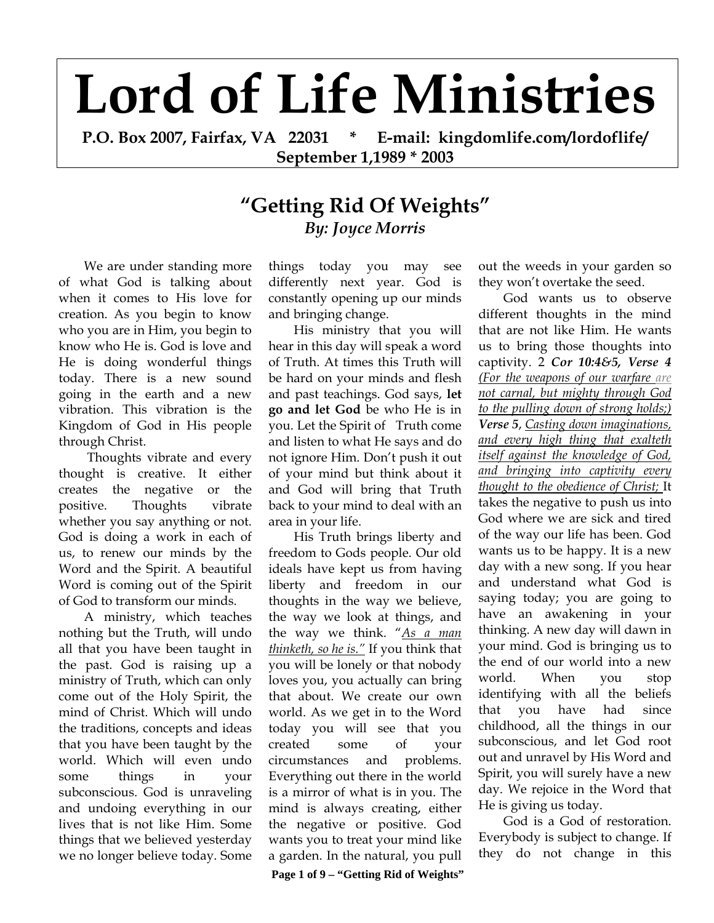## **Lord of Life Ministries**

**P.O. Box 2007, Fairfax, VA 22031 \* E-mail: kingdomlife.com/lordoflife/ September 1,1989 \* 2003** 

## **"Getting Rid Of Weights"** *By: Joyce Morris*

We are under standing more of what God is talking about when it comes to His love for creation. As you begin to know who you are in Him, you begin to know who He is. God is love and He is doing wonderful things today. There is a new sound going in the earth and a new vibration. This vibration is the Kingdom of God in His people through Christ.

 Thoughts vibrate and every thought is creative. It either creates the negative or the positive. Thoughts vibrate whether you say anything or not. God is doing a work in each of us, to renew our minds by the Word and the Spirit. A beautiful Word is coming out of the Spirit of God to transform our minds.

A ministry, which teaches nothing but the Truth, will undo all that you have been taught in the past. God is raising up a ministry of Truth, which can only come out of the Holy Spirit, the mind of Christ. Which will undo the traditions, concepts and ideas that you have been taught by the world. Which will even undo some things in your subconscious. God is unraveling and undoing everything in our lives that is not like Him. Some things that we believed yesterday we no longer believe today. Some

things today you may see differently next year. God is constantly opening up our minds and bringing change.

His ministry that you will hear in this day will speak a word of Truth. At times this Truth will be hard on your minds and flesh and past teachings. God says, **let go and let God** be who He is in you. Let the Spirit of Truth come and listen to what He says and do not ignore Him. Don't push it out of your mind but think about it and God will bring that Truth back to your mind to deal with an area in your life.

His Truth brings liberty and freedom to Gods people. Our old ideals have kept us from having liberty and freedom in our thoughts in the way we believe, the way we look at things, and the way we think. "*As a man thinketh, so he is."* If you think that you will be lonely or that nobody loves you, you actually can bring that about. We create our own world. As we get in to the Word today you will see that you created some of your circumstances and problems. Everything out there in the world is a mirror of what is in you. The mind is always creating, either the negative or positive. God wants you to treat your mind like a garden. In the natural, you pull

out the weeds in your garden so they won't overtake the seed.

God wants us to observe different thoughts in the mind that are not like Him. He wants us to bring those thoughts into captivity. 2 *Cor 10:4&5, Verse 4 (For the weapons of our warfare are not carnal, but mighty through God to the pulling down of strong holds;) Verse 5*, *Casting down imaginations, and every high thing that exalteth itself against the knowledge of God, and bringing into captivity every thought to the obedience of Christ;* It takes the negative to push us into God where we are sick and tired of the way our life has been. God wants us to be happy. It is a new day with a new song. If you hear and understand what God is saying today; you are going to have an awakening in your thinking. A new day will dawn in your mind. God is bringing us to the end of our world into a new world. When you stop identifying with all the beliefs that you have had since childhood, all the things in our subconscious, and let God root out and unravel by His Word and Spirit, you will surely have a new day. We rejoice in the Word that He is giving us today.

God is a God of restoration. Everybody is subject to change. If they do not change in this

 **Page 1 of 9 – "Getting Rid of Weights"**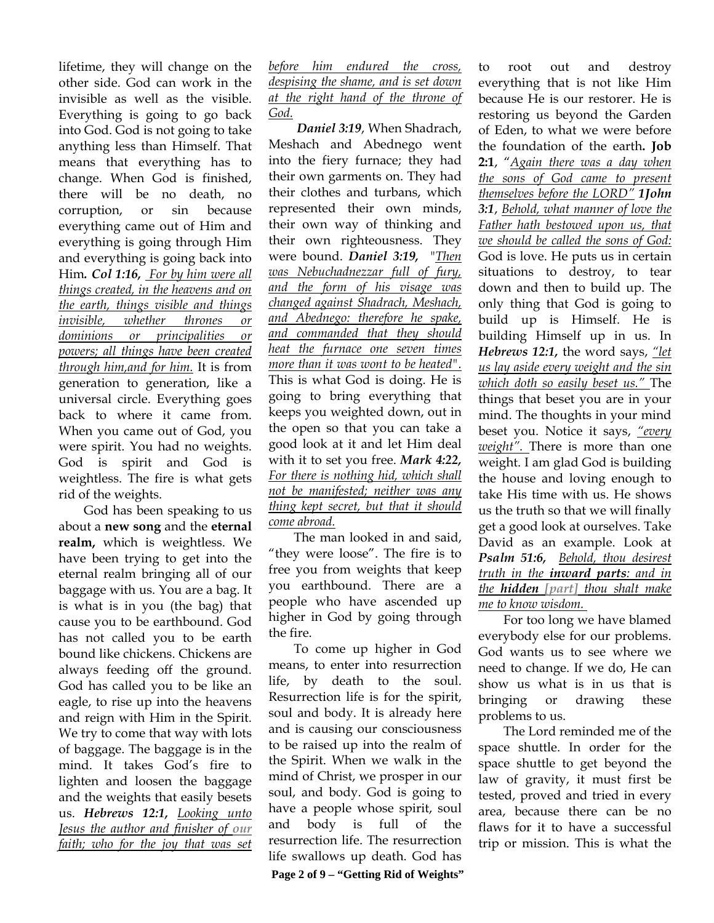lifetime, they will change on the other side. God can work in the invisible as well as the visible. Everything is going to go back into God. God is not going to take anything less than Himself. That means that everything has to change. When God is finished, there will be no death, no corruption, or sin because everything came out of Him and everything is going through Him and everything is going back into Him*. Col 1:16, For by him were all things created, in the heavens and on the earth, things visible and things invisible, whether thrones or dominions or principalities or powers; all things have been created through him,and for him.* It is from generation to generation, like a universal circle. Everything goes back to where it came from. When you came out of God, you were spirit. You had no weights. God is spirit and God is weightless. The fire is what gets rid of the weights.

God has been speaking to us about a **new song** and the **eternal realm,** which is weightless. We have been trying to get into the eternal realm bringing all of our baggage with us. You are a bag. It is what is in you (the bag) that cause you to be earthbound. God has not called you to be earth bound like chickens. Chickens are always feeding off the ground. God has called you to be like an eagle, to rise up into the heavens and reign with Him in the Spirit. We try to come that way with lots of baggage. The baggage is in the mind. It takes God's fire to lighten and loosen the baggage and the weights that easily besets us. *Hebrews 12:1, Looking unto Jesus the author and finisher of our faith; who for the joy that was set* 

*before him endured the cross, despising the shame, and is set down at the right hand of the throne of God.* 

 *Daniel 3:19*, When Shadrach, Meshach and Abednego went into the fiery furnace; they had their own garments on. They had their clothes and turbans, which represented their own minds, their own way of thinking and their own righteousness. They were bound. *Daniel 3:19,* "*Then was Nebuchadnezzar full of fury, and the form of his visage was changed against Shadrach, Meshach, and Abednego: therefore he spake, and commanded that they should heat the furnace one seven times more than it was wont to be heated".* This is what God is doing. He is going to bring everything that keeps you weighted down, out in the open so that you can take a good look at it and let Him deal with it to set you free. *Mark 4:22, For there is nothing hid, which shall not be manifested; neither was any thing kept secret, but that it should come abroad.* 

The man looked in and said, "they were loose". The fire is to free you from weights that keep you earthbound. There are a people who have ascended up higher in God by going through the fire.

To come up higher in God means, to enter into resurrection life, by death to the soul. Resurrection life is for the spirit, soul and body. It is already here and is causing our consciousness to be raised up into the realm of the Spirit. When we walk in the mind of Christ, we prosper in our soul, and body. God is going to have a people whose spirit, soul and body is full of the resurrection life. The resurrection life swallows up death. God has

everything that is not like Him because He is our restorer. He is restoring us beyond the Garden of Eden, to what we were before the foundation of the earth**. Job 2:1**, "*Again there was a day when the sons of God came to present themselves before the LORD" 1John 3:1*, *Behold, what manner of love the Father hath bestowed upon us, that we should be called the sons of God:* God is love. He puts us in certain situations to destroy, to tear down and then to build up. The only thing that God is going to build up is Himself. He is building Himself up in us. In *Hebrews 12:1,* the word says, *"let us lay aside every weight and the sin which doth so easily beset us."* The things that beset you are in your mind. The thoughts in your mind beset you. Notice it says, *"every weight".* There is more than one weight. I am glad God is building the house and loving enough to take His time with us. He shows us the truth so that we will finally get a good look at ourselves. Take David as an example. Look at *Psalm 51:6, Behold, thou desirest truth in the inward parts: and in the hidden [part] thou shalt make* 

to root out and destroy

*me to know wisdom.*  For too long we have blamed everybody else for our problems. God wants us to see where we need to change. If we do, He can show us what is in us that is bringing or drawing these problems to us.

The Lord reminded me of the space shuttle. In order for the space shuttle to get beyond the law of gravity, it must first be tested, proved and tried in every area, because there can be no flaws for it to have a successful trip or mission. This is what the

 **Page 2 of 9 – "Getting Rid of Weights"**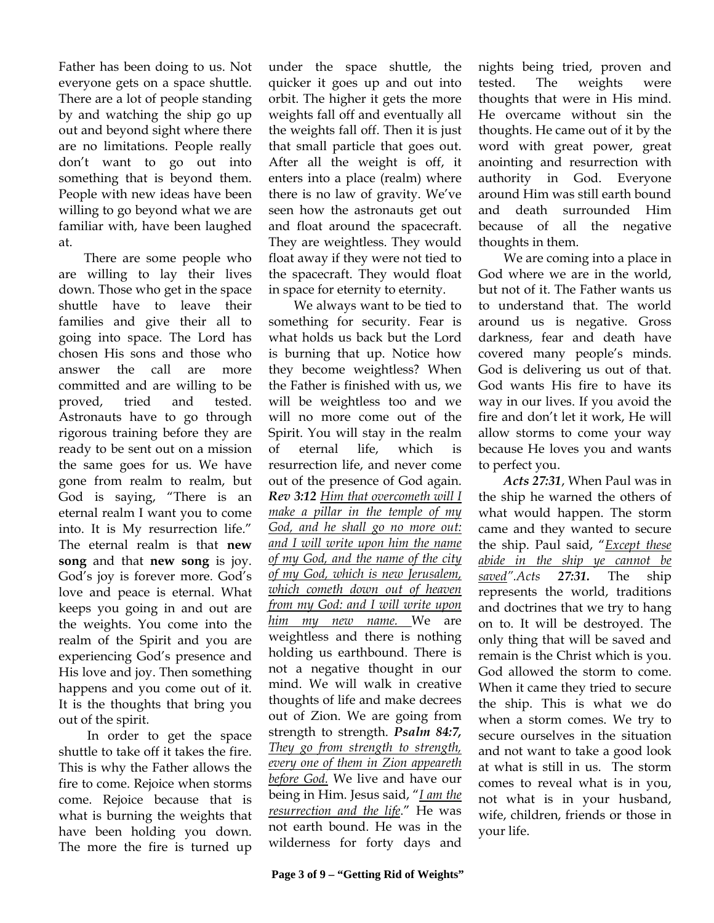Father has been doing to us. Not everyone gets on a space shuttle. There are a lot of people standing by and watching the ship go up out and beyond sight where there are no limitations. People really don't want to go out into something that is beyond them. People with new ideas have been willing to go beyond what we are familiar with, have been laughed at.

There are some people who are willing to lay their lives down. Those who get in the space shuttle have to leave their families and give their all to going into space. The Lord has chosen His sons and those who answer the call are more committed and are willing to be proved, tried and tested. Astronauts have to go through rigorous training before they are ready to be sent out on a mission the same goes for us. We have gone from realm to realm, but God is saying, "There is an eternal realm I want you to come into. It is My resurrection life." The eternal realm is that **new song** and that **new song** is joy. God's joy is forever more. God's love and peace is eternal. What keeps you going in and out are the weights. You come into the realm of the Spirit and you are experiencing God's presence and His love and joy. Then something happens and you come out of it. It is the thoughts that bring you out of the spirit.

 In order to get the space shuttle to take off it takes the fire. This is why the Father allows the fire to come. Rejoice when storms come. Rejoice because that is what is burning the weights that have been holding you down. The more the fire is turned up under the space shuttle, the quicker it goes up and out into orbit. The higher it gets the more weights fall off and eventually all the weights fall off. Then it is just that small particle that goes out. After all the weight is off, it enters into a place (realm) where there is no law of gravity. We've seen how the astronauts get out and float around the spacecraft. They are weightless. They would float away if they were not tied to the spacecraft. They would float in space for eternity to eternity.

We always want to be tied to something for security. Fear is what holds us back but the Lord is burning that up. Notice how they become weightless? When the Father is finished with us, we will be weightless too and we will no more come out of the Spirit. You will stay in the realm of eternal life, which is resurrection life, and never come out of the presence of God again. *Rev 3:12 Him that overcometh will I make a pillar in the temple of my God, and he shall go no more out: and I will write upon him the name of my God, and the name of the city of my God, which is new Jerusalem, which cometh down out of heaven from my God: and I will write upon him my new name.* We are weightless and there is nothing holding us earthbound. There is not a negative thought in our mind. We will walk in creative thoughts of life and make decrees out of Zion. We are going from strength to strength. *Psalm 84:7, They go from strength to strength, every one of them in Zion appeareth before God.* We live and have our being in Him. Jesus said, "*I am the resurrection and the life*." He was not earth bound. He was in the wilderness for forty days and

nights being tried, proven and tested. The weights were thoughts that were in His mind. He overcame without sin the thoughts. He came out of it by the word with great power, great anointing and resurrection with authority in God. Everyone around Him was still earth bound and death surrounded Him because of all the negative thoughts in them.

We are coming into a place in God where we are in the world, but not of it. The Father wants us to understand that. The world around us is negative. Gross darkness, fear and death have covered many people's minds. God is delivering us out of that. God wants His fire to have its way in our lives. If you avoid the fire and don't let it work, He will allow storms to come your way because He loves you and wants to perfect you.

*Acts 27:31*, When Paul was in the ship he warned the others of what would happen. The storm came and they wanted to secure the ship. Paul said, "*Except these abide in the ship ye cannot be saved".Acts 27:31.* The ship represents the world, traditions and doctrines that we try to hang on to. It will be destroyed. The only thing that will be saved and remain is the Christ which is you. God allowed the storm to come. When it came they tried to secure the ship. This is what we do when a storm comes. We try to secure ourselves in the situation and not want to take a good look at what is still in us. The storm comes to reveal what is in you, not what is in your husband, wife, children, friends or those in your life.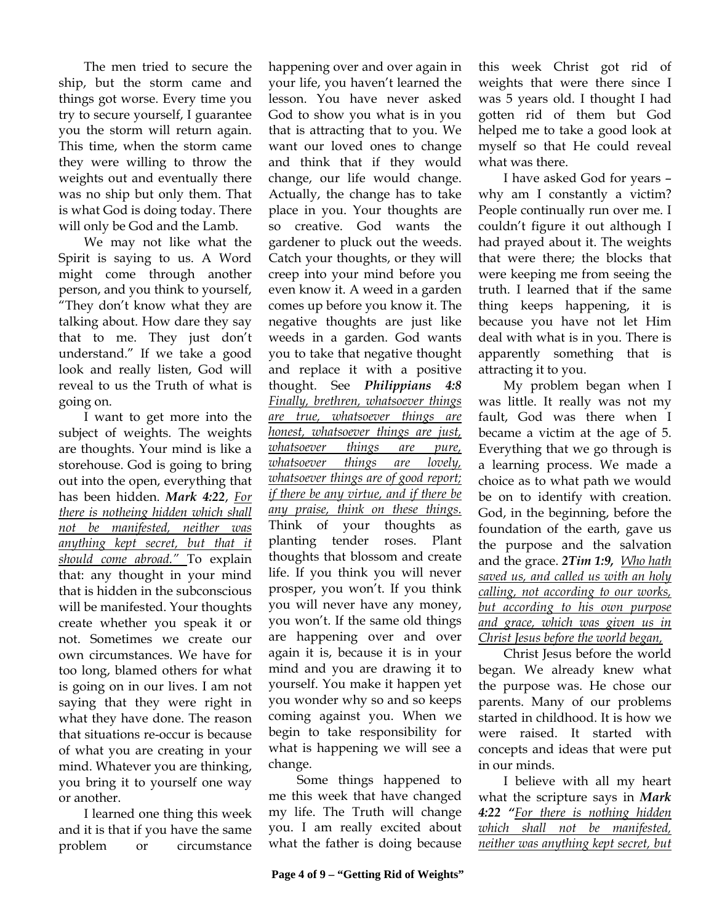The men tried to secure the ship, but the storm came and things got worse. Every time you try to secure yourself, I guarantee you the storm will return again. This time, when the storm came they were willing to throw the weights out and eventually there was no ship but only them. That is what God is doing today. There will only be God and the Lamb.

We may not like what the Spirit is saying to us. A Word might come through another person, and you think to yourself, "They don't know what they are talking about. How dare they say that to me. They just don't understand." If we take a good look and really listen, God will reveal to us the Truth of what is going on.

I want to get more into the subject of weights. The weights are thoughts. Your mind is like a storehouse. God is going to bring out into the open, everything that has been hidden. *Mark 4:22*, *For there is notheing hidden which shall not be manifested, neither was anything kept secret, but that it should come abroad."* To explain that: any thought in your mind that is hidden in the subconscious will be manifested. Your thoughts create whether you speak it or not. Sometimes we create our own circumstances. We have for too long, blamed others for what is going on in our lives. I am not saying that they were right in what they have done. The reason that situations re-occur is because of what you are creating in your mind. Whatever you are thinking, you bring it to yourself one way or another.

I learned one thing this week and it is that if you have the same problem or circumstance

happening over and over again in your life, you haven't learned the lesson. You have never asked God to show you what is in you that is attracting that to you. We want our loved ones to change and think that if they would change, our life would change. Actually, the change has to take place in you. Your thoughts are so creative. God wants the gardener to pluck out the weeds. Catch your thoughts, or they will creep into your mind before you even know it. A weed in a garden comes up before you know it. The negative thoughts are just like weeds in a garden. God wants you to take that negative thought and replace it with a positive thought. See *Philippians 4:8 Finally, brethren, whatsoever things are true, whatsoever things are honest, whatsoever things are just, whatsoever things are pure, whatsoever things are lovely, whatsoever things are of good report; if there be any virtue, and if there be any praise, think on these things.*  Think of your thoughts as planting tender roses. Plant thoughts that blossom and create life. If you think you will never prosper, you won't. If you think you will never have any money, you won't. If the same old things are happening over and over again it is, because it is in your mind and you are drawing it to yourself. You make it happen yet you wonder why so and so keeps coming against you. When we begin to take responsibility for what is happening we will see a change.

 Some things happened to me this week that have changed my life. The Truth will change you. I am really excited about what the father is doing because

this week Christ got rid of weights that were there since I was 5 years old. I thought I had gotten rid of them but God helped me to take a good look at myself so that He could reveal what was there.

I have asked God for years – why am I constantly a victim? People continually run over me. I couldn't figure it out although I had prayed about it. The weights that were there; the blocks that were keeping me from seeing the truth. I learned that if the same thing keeps happening, it is because you have not let Him deal with what is in you. There is apparently something that is attracting it to you.

My problem began when I was little. It really was not my fault, God was there when I became a victim at the age of 5. Everything that we go through is a learning process. We made a choice as to what path we would be on to identify with creation. God, in the beginning, before the foundation of the earth, gave us the purpose and the salvation and the grace. *2Tim 1:9, Who hath saved us, and called us with an holy calling, not according to our works, but according to his own purpose and grace, which was given us in Christ Jesus before the world began,*

Christ Jesus before the world began. We already knew what the purpose was. He chose our parents. Many of our problems started in childhood. It is how we were raised. It started with concepts and ideas that were put in our minds.

I believe with all my heart what the scripture says in *Mark 4:22 "For there is nothing hidden which shall not be manifested, neither was anything kept secret, but*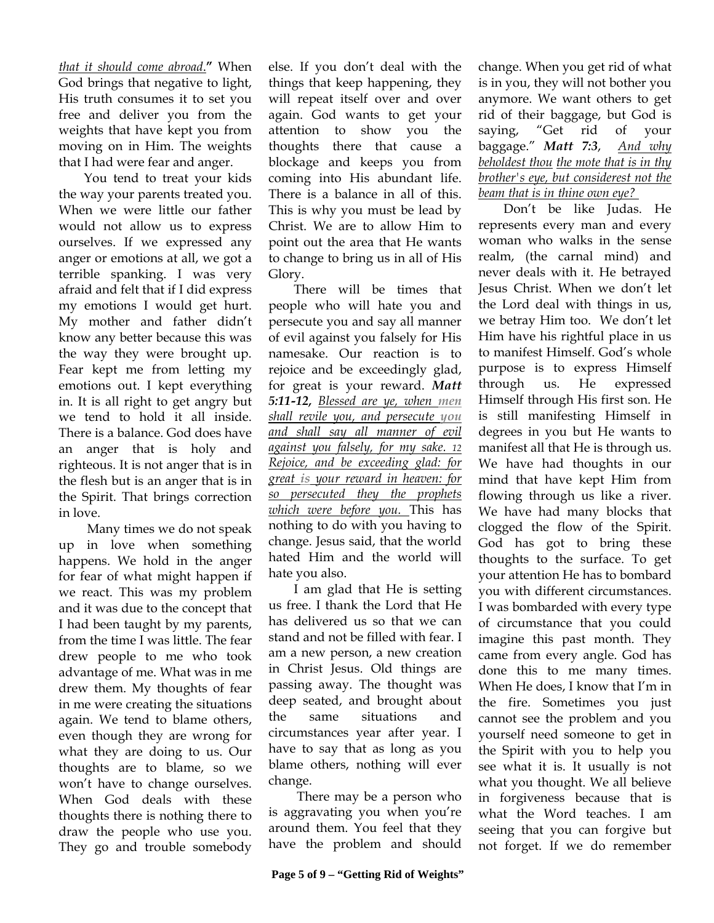*that it should come abroad*.**"** When God brings that negative to light, His truth consumes it to set you free and deliver you from the weights that have kept you from moving on in Him. The weights that I had were fear and anger.

You tend to treat your kids the way your parents treated you. When we were little our father would not allow us to express ourselves. If we expressed any anger or emotions at all, we got a terrible spanking. I was very afraid and felt that if I did express my emotions I would get hurt. My mother and father didn't know any better because this was the way they were brought up. Fear kept me from letting my emotions out. I kept everything in. It is all right to get angry but we tend to hold it all inside. There is a balance. God does have an anger that is holy and righteous. It is not anger that is in the flesh but is an anger that is in the Spirit. That brings correction in love.

 Many times we do not speak up in love when something happens. We hold in the anger for fear of what might happen if we react. This was my problem and it was due to the concept that I had been taught by my parents, from the time I was little. The fear drew people to me who took advantage of me. What was in me drew them. My thoughts of fear in me were creating the situations again. We tend to blame others, even though they are wrong for what they are doing to us. Our thoughts are to blame, so we won't have to change ourselves. When God deals with these thoughts there is nothing there to draw the people who use you. They go and trouble somebody

else. If you don't deal with the things that keep happening, they will repeat itself over and over again. God wants to get your attention to show you the thoughts there that cause a blockage and keeps you from coming into His abundant life. There is a balance in all of this. This is why you must be lead by Christ. We are to allow Him to point out the area that He wants to change to bring us in all of His Glory.

There will be times that people who will hate you and persecute you and say all manner of evil against you falsely for His namesake. Our reaction is to rejoice and be exceedingly glad, for great is your reward. *Matt 5:11-12, Blessed are ye, when men shall revile you, and persecute you and shall say all manner of evil against you falsely, for my sake. 12 Rejoice, and be exceeding glad: for great is your reward in heaven: for so persecuted they the prophets which were before you.* This has nothing to do with you having to change. Jesus said, that the world hated Him and the world will hate you also.

I am glad that He is setting us free. I thank the Lord that He has delivered us so that we can stand and not be filled with fear. I am a new person, a new creation in Christ Jesus. Old things are passing away. The thought was deep seated, and brought about the same situations and circumstances year after year. I have to say that as long as you blame others, nothing will ever change.

 There may be a person who is aggravating you when you're around them. You feel that they have the problem and should

change. When you get rid of what is in you, they will not bother you anymore. We want others to get rid of their baggage, but God is saying, "Get rid of your baggage." *Matt 7:3*, *And why beholdest thou the mote that is in thy brother's eye, but considerest not the beam that is in thine own eye?* 

Don't be like Judas. He represents every man and every woman who walks in the sense realm, (the carnal mind) and never deals with it. He betrayed Jesus Christ. When we don't let the Lord deal with things in us, we betray Him too. We don't let Him have his rightful place in us to manifest Himself. God's whole purpose is to express Himself through us. He expressed Himself through His first son. He is still manifesting Himself in degrees in you but He wants to manifest all that He is through us. We have had thoughts in our mind that have kept Him from flowing through us like a river. We have had many blocks that clogged the flow of the Spirit. God has got to bring these thoughts to the surface. To get your attention He has to bombard you with different circumstances. I was bombarded with every type of circumstance that you could imagine this past month. They came from every angle. God has done this to me many times. When He does, I know that I'm in the fire. Sometimes you just cannot see the problem and you yourself need someone to get in the Spirit with you to help you see what it is. It usually is not what you thought. We all believe in forgiveness because that is what the Word teaches. I am seeing that you can forgive but not forget. If we do remember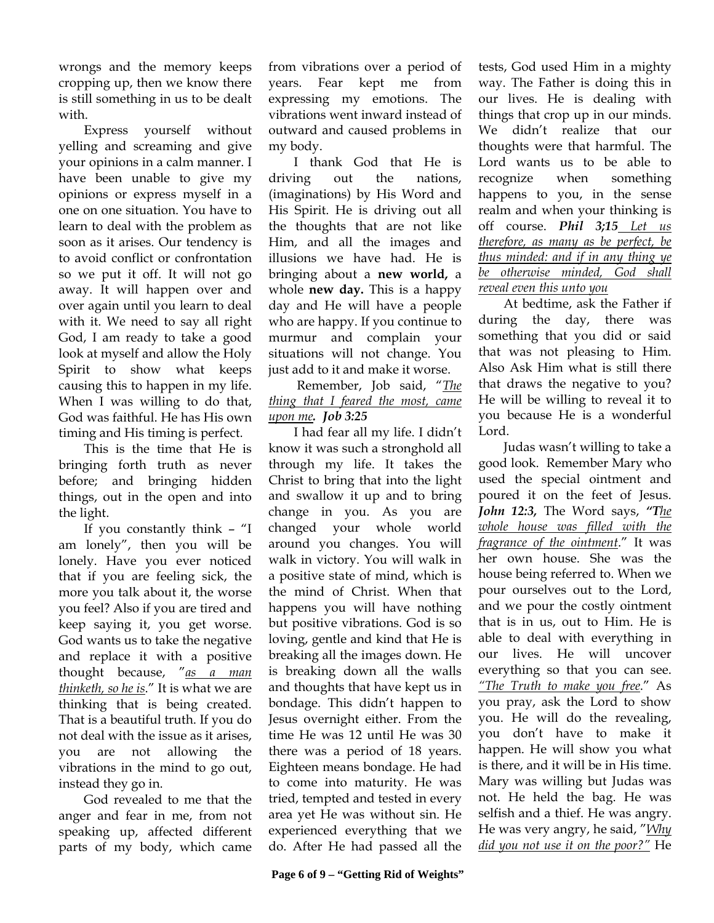wrongs and the memory keeps cropping up, then we know there is still something in us to be dealt with.

Express yourself without yelling and screaming and give your opinions in a calm manner. I have been unable to give my opinions or express myself in a one on one situation. You have to learn to deal with the problem as soon as it arises. Our tendency is to avoid conflict or confrontation so we put it off. It will not go away. It will happen over and over again until you learn to deal with it. We need to say all right God, I am ready to take a good look at myself and allow the Holy Spirit to show what keeps causing this to happen in my life. When I was willing to do that, God was faithful. He has His own timing and His timing is perfect.

This is the time that He is bringing forth truth as never before; and bringing hidden things, out in the open and into the light.

If you constantly think – "I am lonely", then you will be lonely. Have you ever noticed that if you are feeling sick, the more you talk about it, the worse you feel? Also if you are tired and keep saying it, you get worse. God wants us to take the negative and replace it with a positive thought because, "*as a man thinketh, so he is*." It is what we are thinking that is being created. That is a beautiful truth. If you do not deal with the issue as it arises, you are not allowing the vibrations in the mind to go out, instead they go in.

God revealed to me that the anger and fear in me, from not speaking up, affected different parts of my body, which came from vibrations over a period of years. Fear kept me from expressing my emotions. The vibrations went inward instead of outward and caused problems in my body.

I thank God that He is driving out the nations, (imaginations) by His Word and His Spirit. He is driving out all the thoughts that are not like Him, and all the images and illusions we have had. He is bringing about a **new world,** a whole **new day.** This is a happy day and He will have a people who are happy. If you continue to murmur and complain your situations will not change. You just add to it and make it worse.

 Remember, Job said, "*The thing that I feared the most, came upon me. Job 3:25*

I had fear all my life. I didn't know it was such a stronghold all through my life. It takes the Christ to bring that into the light and swallow it up and to bring change in you. As you are changed your whole world around you changes. You will walk in victory. You will walk in a positive state of mind, which is the mind of Christ. When that happens you will have nothing but positive vibrations. God is so loving, gentle and kind that He is breaking all the images down. He is breaking down all the walls and thoughts that have kept us in bondage. This didn't happen to Jesus overnight either. From the time He was 12 until He was 30 there was a period of 18 years. Eighteen means bondage. He had to come into maturity. He was tried, tempted and tested in every area yet He was without sin. He experienced everything that we do. After He had passed all the

tests, God used Him in a mighty way. The Father is doing this in our lives. He is dealing with things that crop up in our minds. We didn't realize that our thoughts were that harmful. The Lord wants us to be able to recognize when something happens to you, in the sense realm and when your thinking is off course. *Phil 3;15 Let us therefore, as many as be perfect, be thus minded: and if in any thing ye be otherwise minded, God shall reveal even this unto you*

At bedtime, ask the Father if during the day, there was something that you did or said that was not pleasing to Him. Also Ask Him what is still there that draws the negative to you? He will be willing to reveal it to you because He is a wonderful Lord.

Judas wasn't willing to take a good look. Remember Mary who used the special ointment and poured it on the feet of Jesus. *John 12:3,* The Word says, *"The whole house was filled with the fragrance of the ointment*." It was her own house. She was the house being referred to. When we pour ourselves out to the Lord, and we pour the costly ointment that is in us, out to Him. He is able to deal with everything in our lives. He will uncover everything so that you can see. *"The Truth to make you free*." As you pray, ask the Lord to show you. He will do the revealing, you don't have to make it happen. He will show you what is there, and it will be in His time. Mary was willing but Judas was not. He held the bag. He was selfish and a thief. He was angry. He was very angry, he said, "*Why did you not use it on the poor?"* He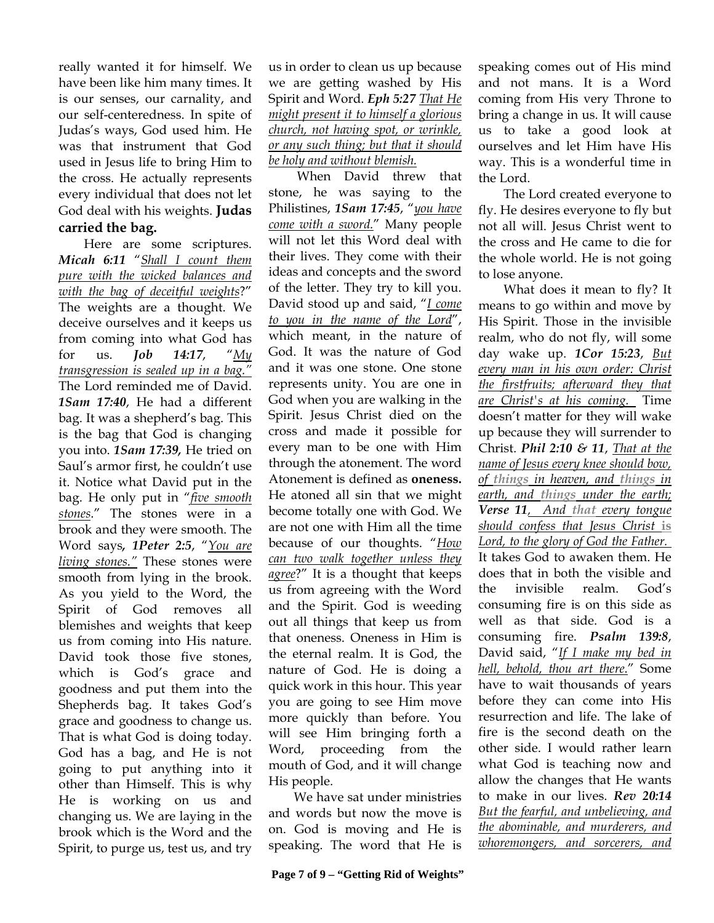really wanted it for himself. We have been like him many times. It is our senses, our carnality, and our self-centeredness. In spite of Judas's ways, God used him. He was that instrument that God used in Jesus life to bring Him to the cross. He actually represents every individual that does not let God deal with his weights. **Judas carried the bag.** 

Here are some scriptures. *Micah 6:11* "*Shall I count them pure with the wicked balances and with the bag of deceitful weights*?" The weights are a thought. We deceive ourselves and it keeps us from coming into what God has for us. *Job 14:17*, "*My transgression is sealed up in a bag."*  The Lord reminded me of David. *1Sam 17:40*, He had a different bag. It was a shepherd's bag. This is the bag that God is changing you into. *1Sam 17:39,* He tried on Saul's armor first, he couldn't use it. Notice what David put in the bag. He only put in "*five smooth stones*." The stones were in a brook and they were smooth. The Word says*, 1Peter 2:5*, "*You are living stones."* These stones were smooth from lying in the brook. As you yield to the Word, the Spirit of God removes all blemishes and weights that keep us from coming into His nature. David took those five stones, which is God's grace and goodness and put them into the Shepherds bag. It takes God's grace and goodness to change us. That is what God is doing today. God has a bag, and He is not going to put anything into it other than Himself. This is why He is working on us and changing us. We are laying in the brook which is the Word and the Spirit, to purge us, test us, and try us in order to clean us up because we are getting washed by His Spirit and Word. *Eph 5:27 That He might present it to himself a glorious church, not having spot, or wrinkle, or any such thing; but that it should be holy and without blemish.* 

 When David threw that stone, he was saying to the Philistines, *1Sam 17:45*, "*you have come with a sword.*" Many people will not let this Word deal with their lives. They come with their ideas and concepts and the sword of the letter. They try to kill you. David stood up and said, "*I come to you in the name of the Lord*", which meant, in the nature of God. It was the nature of God and it was one stone. One stone represents unity. You are one in God when you are walking in the Spirit. Jesus Christ died on the cross and made it possible for every man to be one with Him through the atonement. The word Atonement is defined as **oneness.**  He atoned all sin that we might become totally one with God. We are not one with Him all the time because of our thoughts. "*How can two walk together unless they agree*?" It is a thought that keeps us from agreeing with the Word and the Spirit. God is weeding out all things that keep us from that oneness. Oneness in Him is the eternal realm. It is God, the nature of God. He is doing a quick work in this hour. This year you are going to see Him move more quickly than before. You will see Him bringing forth a Word, proceeding from the mouth of God, and it will change His people.

We have sat under ministries and words but now the move is on. God is moving and He is speaking. The word that He is speaking comes out of His mind and not mans. It is a Word coming from His very Throne to bring a change in us. It will cause us to take a good look at ourselves and let Him have His way. This is a wonderful time in the Lord.

The Lord created everyone to fly. He desires everyone to fly but not all will. Jesus Christ went to the cross and He came to die for the whole world. He is not going to lose anyone.

What does it mean to fly? It means to go within and move by His Spirit. Those in the invisible realm, who do not fly, will some day wake up. *1Cor 15:23*, *But every man in his own order: Christ the firstfruits; afterward they that are Christ's at his coming.* Time doesn't matter for they will wake up because they will surrender to Christ. *Phil 2:10 & 11*, *That at the name of Jesus every knee should bow, of things in heaven, and things in earth, and things under the earth; Verse 11, And that every tongue should confess that Jesus Christ* **is** *Lord, to the glory of God the Father.*  It takes God to awaken them. He does that in both the visible and the invisible realm. God's consuming fire is on this side as well as that side. God is a consuming fire. *Psalm 139:8*, David said, "*If I make my bed in hell, behold, thou art there.*" Some have to wait thousands of years before they can come into His resurrection and life. The lake of fire is the second death on the other side. I would rather learn what God is teaching now and allow the changes that He wants to make in our lives. *Rev 20:14 But the fearful, and unbelieving, and the abominable, and murderers, and whoremongers, and sorcerers, and*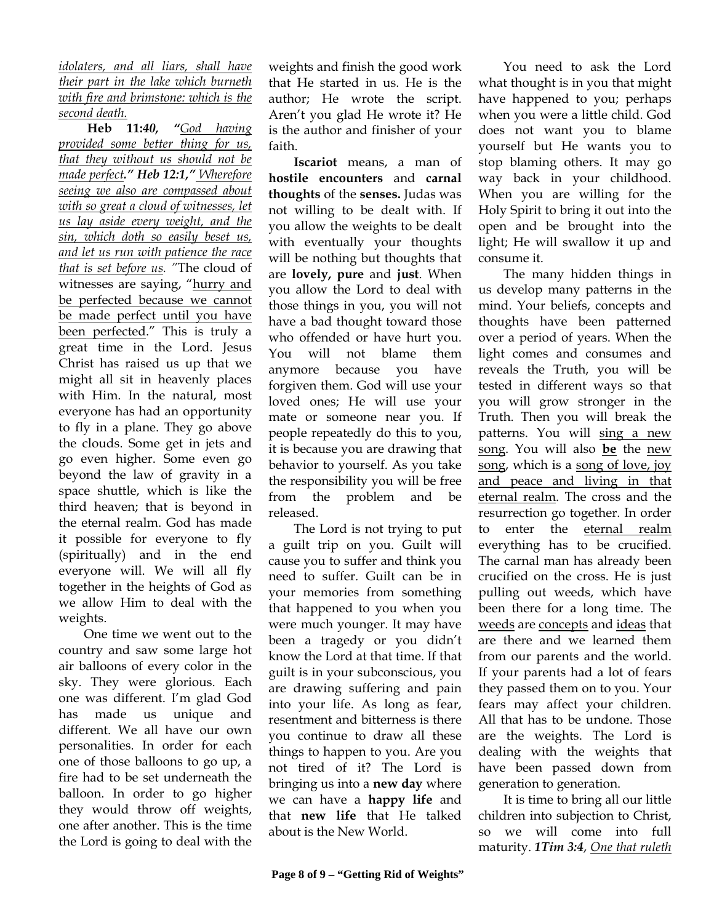*idolaters, and all liars, shall have their part in the lake which burneth with fire and brimstone: which is the second death.* 

 **Heb 11:***40, "God having provided some better thing for us, that they without us should not be made perfect." Heb 12:1," Wherefore seeing we also are compassed about with so great a cloud of witnesses, let us lay aside every weight, and the sin, which doth so easily beset us, and let us run with patience the race that is set before us. "*The cloud of witnesses are saying, "hurry and be perfected because we cannot be made perfect until you have been perfected." This is truly a great time in the Lord. Jesus Christ has raised us up that we might all sit in heavenly places with Him. In the natural, most everyone has had an opportunity to fly in a plane. They go above the clouds. Some get in jets and go even higher. Some even go beyond the law of gravity in a space shuttle, which is like the third heaven; that is beyond in the eternal realm. God has made it possible for everyone to fly (spiritually) and in the end everyone will. We will all fly together in the heights of God as we allow Him to deal with the weights.

One time we went out to the country and saw some large hot air balloons of every color in the sky. They were glorious. Each one was different. I'm glad God has made us unique and different. We all have our own personalities. In order for each one of those balloons to go up, a fire had to be set underneath the balloon. In order to go higher they would throw off weights, one after another. This is the time the Lord is going to deal with the

weights and finish the good work that He started in us. He is the author; He wrote the script. Aren't you glad He wrote it? He is the author and finisher of your faith.

**Iscariot** means, a man of **hostile encounters** and **carnal thoughts** of the **senses.** Judas was not willing to be dealt with. If you allow the weights to be dealt with eventually your thoughts will be nothing but thoughts that are **lovely, pure** and **just**. When you allow the Lord to deal with those things in you, you will not have a bad thought toward those who offended or have hurt you. You will not blame them anymore because you have forgiven them. God will use your loved ones; He will use your mate or someone near you. If people repeatedly do this to you, it is because you are drawing that behavior to yourself. As you take the responsibility you will be free from the problem and be released.

The Lord is not trying to put a guilt trip on you. Guilt will cause you to suffer and think you need to suffer. Guilt can be in your memories from something that happened to you when you were much younger. It may have been a tragedy or you didn't know the Lord at that time. If that guilt is in your subconscious, you are drawing suffering and pain into your life. As long as fear, resentment and bitterness is there you continue to draw all these things to happen to you. Are you not tired of it? The Lord is bringing us into a **new day** where we can have a **happy life** and that **new life** that He talked about is the New World.

You need to ask the Lord what thought is in you that might have happened to you; perhaps when you were a little child. God does not want you to blame yourself but He wants you to stop blaming others. It may go way back in your childhood. When you are willing for the Holy Spirit to bring it out into the open and be brought into the light; He will swallow it up and consume it.

The many hidden things in us develop many patterns in the mind. Your beliefs, concepts and thoughts have been patterned over a period of years. When the light comes and consumes and reveals the Truth, you will be tested in different ways so that you will grow stronger in the Truth. Then you will break the patterns. You will sing a new song. You will also **be** the new song, which is a song of love, joy and peace and living in that eternal realm. The cross and the resurrection go together. In order to enter the eternal realm everything has to be crucified. The carnal man has already been crucified on the cross. He is just pulling out weeds, which have been there for a long time. The weeds are concepts and ideas that are there and we learned them from our parents and the world. If your parents had a lot of fears they passed them on to you. Your fears may affect your children. All that has to be undone. Those are the weights. The Lord is dealing with the weights that have been passed down from generation to generation.

It is time to bring all our little children into subjection to Christ, so we will come into full maturity. *1Tim 3:4*, *One that ruleth*